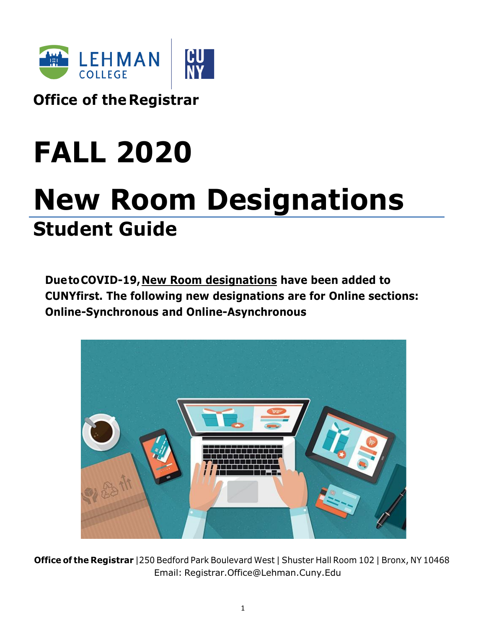

**Office of theRegistrar**

# **FALL 2020**

## **New Room Designations Student Guide**

**DuetoCOVID-19,New Room designations have been added to CUNYfirst. The following new designations are for Online sections: Online-Synchronous and Online-Asynchronous**



**Office of the Registrar** |250 Bedford Park Boulevard West | Shuster Hall Room 102 | Bronx, NY 10468 Email: [Registrar.Office@Lehman.Cuny.Edu](mailto:Registrar.Office@Lehman.Cuny.Edu)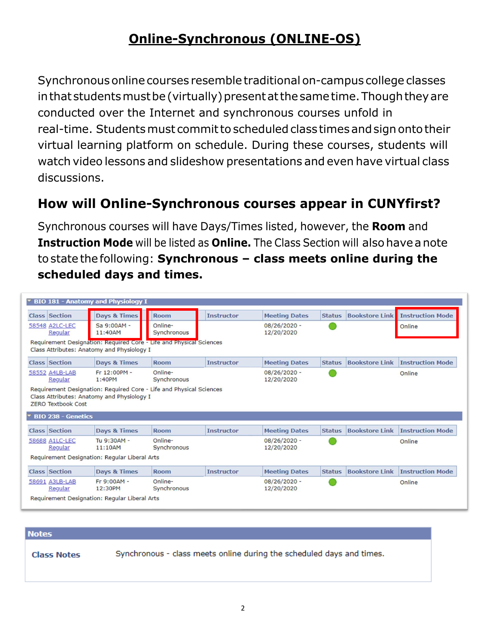## **Online-Synchronous (ONLINE-OS)**

Synchronousonlinecourses resemble traditional on-campus college classes in that students must be (virtually) present at the same time. Though they are conducted over the Internet and synchronous courses unfold in real-time. Students must commit to scheduled class times and sign onto their virtual learning platform on schedule. During these courses, students will watch video lessons and slideshow presentations and even have virtual class discussions.

## **How will Online-Synchronous courses appear in CUNYfirst?**

Synchronous courses will have Days/Times listed, however, the **Room** and **Instruction Mode** will be listed as **Online.** The Class Section will also have a note tostate thefollowing: **Synchronous – class meets online during the scheduled days and times.**

| <b>BIO 181 - Anatomy and Physiology I</b>                                                                         |                                               |                        |                   |                              |               |                       |                         |  |
|-------------------------------------------------------------------------------------------------------------------|-----------------------------------------------|------------------------|-------------------|------------------------------|---------------|-----------------------|-------------------------|--|
| <b>Class Section</b>                                                                                              | Days & Times                                  | <b>Room</b>            | <b>Instructor</b> | <b>Meeting Dates</b>         | <b>Status</b> | <b>Bookstore Link</b> | <b>Instruction Mode</b> |  |
| 58548 A2LC-LEC<br>Regular                                                                                         | Sa 9:00AM -<br>11:40AM                        | Online-<br>Synchronous |                   | $08/26/2020 -$<br>12/20/2020 |               |                       | Online                  |  |
| Requirement Designation: Required Core - Life and Physical Sciences<br>Class Attributes: Anatomy and Physiology I |                                               |                        |                   |                              |               |                       |                         |  |
| <b>Class Section</b>                                                                                              | <b>Days &amp; Times</b>                       | <b>Room</b>            | <b>Instructor</b> | <b>Meeting Dates</b>         | <b>Status</b> | <b>Bookstore Link</b> | <b>Instruction Mode</b> |  |
| 58552 A4LB-LAB<br>Regular                                                                                         | Fr 12:00PM -<br>1:40PM                        | Online-<br>Synchronous |                   | $08/26/2020 -$<br>12/20/2020 |               |                       | Online                  |  |
| <b>ZERO Textbook Cost</b><br>▼ BIO 238 - Genetics                                                                 | Class Attributes: Anatomy and Physiology I    |                        |                   |                              |               |                       |                         |  |
|                                                                                                                   |                                               |                        |                   |                              |               |                       |                         |  |
| <b>Class Section</b>                                                                                              | <b>Days &amp; Times</b>                       | <b>Room</b>            | <b>Instructor</b> | <b>Meeting Dates</b>         | <b>Status</b> | <b>Bookstore Link</b> | <b>Instruction Mode</b> |  |
| 58688 A1LC-LEC<br>Regular                                                                                         | Tu 9:30AM -<br>11:10AM                        | Online-<br>Synchronous |                   | $08/26/2020 -$<br>12/20/2020 |               |                       | Online                  |  |
|                                                                                                                   | Requirement Designation: Regular Liberal Arts |                        |                   |                              |               |                       |                         |  |
| <b>Class Section</b>                                                                                              | <b>Days &amp; Times</b>                       | <b>Room</b>            | <b>Instructor</b> | <b>Meeting Dates</b>         | <b>Status</b> | <b>Bookstore Link</b> | <b>Instruction Mode</b> |  |
| 58691 A3LB-LAB<br>Regular                                                                                         | Fr 9:00AM -<br>12:30PM                        | Online-<br>Synchronous |                   | $08/26/2020 -$<br>12/20/2020 |               |                       | Online                  |  |

#### **Notes**

**Class Notes** 

Synchronous - class meets online during the scheduled days and times.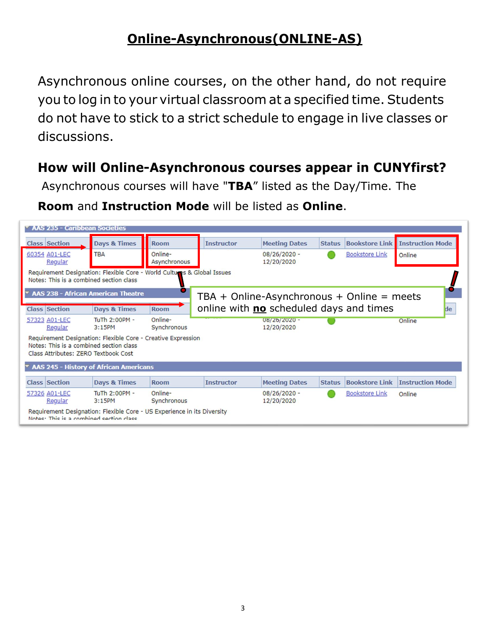## **Online-Asynchronous(ONLINE-AS)**

Asynchronous online courses, on the other hand, do not require you to log in to your virtual classroom at a specified time. Students do not have to stick to a strict schedule to engage in live classes or discussions.

### **How will Online-Asynchronous courses appear in CUNYfirst?**

Asynchronous courses will have "**TBA**" listed as the Day/Time. The

**Room** and **Instruction Mode** will be listed as **Online**.

| AAS 235 - Caribbean Sociéties                                                   |                                                                         |                         |                                              |                              |               |                       |                         |
|---------------------------------------------------------------------------------|-------------------------------------------------------------------------|-------------------------|----------------------------------------------|------------------------------|---------------|-----------------------|-------------------------|
| <b>Class Section</b>                                                            | <b>Days &amp; Times</b>                                                 | <b>Room</b>             | <b>Instructor</b>                            | <b>Meeting Dates</b>         | <b>Status</b> | <b>Bookstore Link</b> | <b>Instruction Mode</b> |
| 60354 A01-LEC<br>Regular                                                        | <b>TBA</b>                                                              | Online-<br>Asynchronous |                                              | $08/26/2020 -$<br>12/20/2020 |               | <b>Bookstore Link</b> | Online                  |
| Notes: This is a combined section class                                         | Requirement Designation: Flexible Core - World Cultures & Global Issues |                         |                                              |                              |               |                       |                         |
|                                                                                 | <b>* AAS 238 - African American Theatre</b>                             |                         | $TBA + Online-Asynchronous + Online = meets$ |                              |               |                       |                         |
| <b>Class Section</b>                                                            | Days & Times                                                            | <b>Room</b>             | online with no scheduled days and times      |                              |               |                       | de                      |
| 57323 A01-LEC<br>Regular                                                        | TuTh 2:00PM -<br>3:15PM                                                 | Online-<br>Synchronous  |                                              | 08/26/2020 -<br>12/20/2020   |               |                       | Online                  |
| Notes: This is a combined section class<br>Class Attributes: ZERO Textbook Cost | Requirement Designation: Flexible Core - Creative Expression            |                         |                                              |                              |               |                       |                         |
|                                                                                 | <b>AAS 245 - History of African Americans</b>                           |                         |                                              |                              |               |                       |                         |
| <b>Class Section</b>                                                            | Days & Times                                                            | <b>Room</b>             | <b>Instructor</b>                            | <b>Meeting Dates</b>         | <b>Status</b> | <b>Bookstore Link</b> | <b>Instruction Mode</b> |
| 57326 A01-LEC<br>Regular                                                        | TuTh 2:00PM -<br>3:15PM                                                 | Online-<br>Synchronous  |                                              | $08/26/2020 -$<br>12/20/2020 |               | <b>Bookstore Link</b> | Online                  |
| Notae: Thie is a combined section class                                         | Requirement Designation: Flexible Core - US Experience in its Diversity |                         |                                              |                              |               |                       |                         |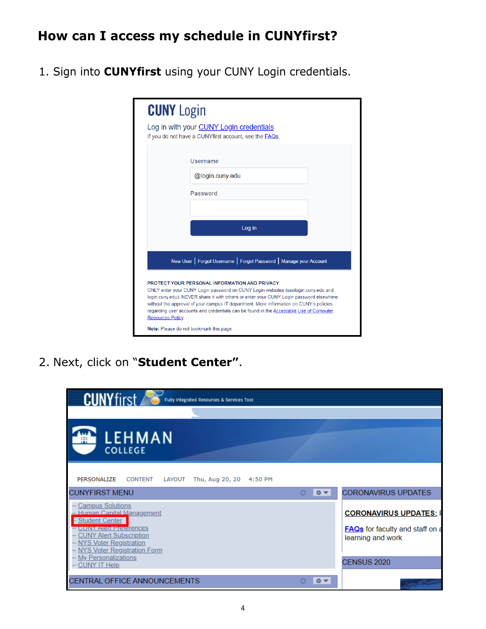## **How can I access my schedule in CUNYfirst?**

1. Sign into **CUNYfirst** using your CUNY Login credentials.

| <b>CUNY</b> Login |                                                                                                                                                                                                                                                                                                                                                                                                                   |
|-------------------|-------------------------------------------------------------------------------------------------------------------------------------------------------------------------------------------------------------------------------------------------------------------------------------------------------------------------------------------------------------------------------------------------------------------|
|                   | Log in with your <b>CUNY Login credentials</b><br>If you do not have a CUNYfirst account, see the <b>FAQs</b> .                                                                                                                                                                                                                                                                                                   |
|                   | Username                                                                                                                                                                                                                                                                                                                                                                                                          |
|                   | @login.cuny.edu                                                                                                                                                                                                                                                                                                                                                                                                   |
|                   | Password                                                                                                                                                                                                                                                                                                                                                                                                          |
|                   |                                                                                                                                                                                                                                                                                                                                                                                                                   |
|                   | Log in                                                                                                                                                                                                                                                                                                                                                                                                            |
|                   |                                                                                                                                                                                                                                                                                                                                                                                                                   |
|                   | New User   Forgot Username   Forgot Password   Manage your Account                                                                                                                                                                                                                                                                                                                                                |
| Resources Policy. | PROTECT YOUR PERSONAL INFORMATION AND PRIVACY<br>ONLY enter your CUNY Login password on CUNY Login websites (ssologin.cuny.edu and<br>login.cuny.edu). NEVER share it with others or enter your CUNY Login password elsewhere<br>without the approval of your campus IT department. More information on CUNY's policies<br>regarding user accounts and credentials can be found in the Acceptable Use of Computer |
|                   | Note: Please do not bookmark this page.                                                                                                                                                                                                                                                                                                                                                                           |

2. Next, click on "**Student Center"**.

| <b>CUNYfirst</b><br>Fully Integrated Resources & Services Tool                                                                                                                                                                               |                                                                                              |
|----------------------------------------------------------------------------------------------------------------------------------------------------------------------------------------------------------------------------------------------|----------------------------------------------------------------------------------------------|
| <b>LEHMAN</b><br>凲<br><b>COLLEGE</b>                                                                                                                                                                                                         |                                                                                              |
| Thu, Aug 20, 20 4:50 PM<br>PERSONALIZE<br><b>CONTENT</b><br>LAYOUT<br><b>CUNYFIRST MENU</b><br>$\circ$                                                                                                                                       | <b>CORONAVIRUS UPDATES</b><br>$Q = \mathbf{V}$                                               |
| <b>Campus Solutions</b><br>- Human Capital Management<br>- Student Center<br><u>- CUNY Alert Preferences</u><br><b>CUNY Alert Subscription</b><br>NYS Voter Registration<br><b>NYS Voter Registration Form</b><br><b>My Personalizations</b> | <b>CORONAVIRUS UPDATES: F</b><br><b>FAQs</b> for faculty and staff on a<br>learning and work |
| <b>CUNY IT Help</b>                                                                                                                                                                                                                          | CENSUS 2020                                                                                  |
| CENTRAL OFFICE ANNOUNCEMENTS                                                                                                                                                                                                                 | $0 -$                                                                                        |